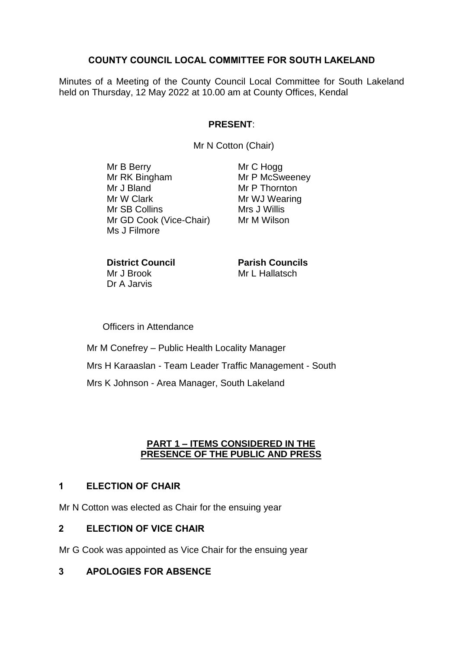## **COUNTY COUNCIL LOCAL COMMITTEE FOR SOUTH LAKELAND**

Minutes of a Meeting of the County Council Local Committee for South Lakeland held on Thursday, 12 May 2022 at 10.00 am at County Offices, Kendal

## **PRESENT**:

Mr N Cotton (Chair)

Mr B Berry Mr RK Bingham Mr J Bland Mr W Clark Mr SB Collins Mr GD Cook (Vice-Chair) Ms J Filmore

Mr C Hogg Mr P McSweeney Mr P Thornton Mr WJ Wearing Mrs J Willis Mr M Wilson

**District Council** Mr J Brook Dr A Jarvis

**Parish Councils** Mr L Hallatsch

Officers in Attendance

Mr M Conefrey – Public Health Locality Manager Mrs H Karaaslan - Team Leader Traffic Management - South Mrs K Johnson - Area Manager, South Lakeland

#### **PART 1 – ITEMS CONSIDERED IN THE PRESENCE OF THE PUBLIC AND PRESS**

### **1 ELECTION OF CHAIR**

Mr N Cotton was elected as Chair for the ensuing year

### **2 ELECTION OF VICE CHAIR**

Mr G Cook was appointed as Vice Chair for the ensuing year

### **3 APOLOGIES FOR ABSENCE**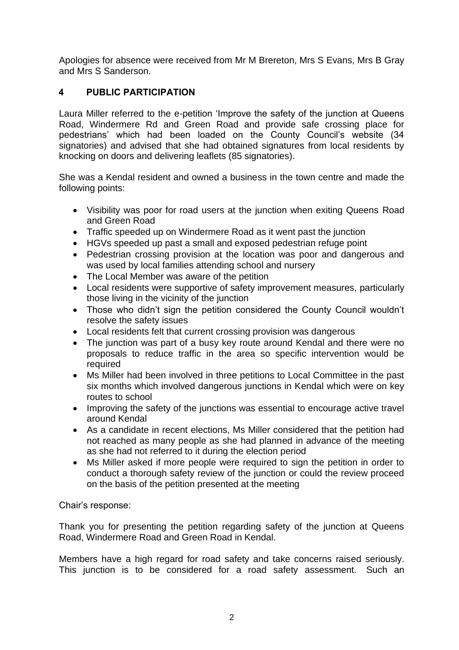Apologies for absence were received from Mr M Brereton, Mrs S Evans, Mrs B Gray and Mrs S Sanderson.

# **4 PUBLIC PARTICIPATION**

Laura Miller referred to the e-petition 'Improve the safety of the junction at Queens Road, Windermere Rd and Green Road and provide safe crossing place for pedestrians' which had been loaded on the County Council's website (34 signatories) and advised that she had obtained signatures from local residents by knocking on doors and delivering leaflets (85 signatories).

She was a Kendal resident and owned a business in the town centre and made the following points:

- Visibility was poor for road users at the junction when exiting Queens Road and Green Road
- Traffic speeded up on Windermere Road as it went past the junction
- HGVs speeded up past a small and exposed pedestrian refuge point
- Pedestrian crossing provision at the location was poor and dangerous and was used by local families attending school and nursery
- The Local Member was aware of the petition
- Local residents were supportive of safety improvement measures, particularly those living in the vicinity of the junction
- Those who didn't sign the petition considered the County Council wouldn't resolve the safety issues
- Local residents felt that current crossing provision was dangerous
- The junction was part of a busy key route around Kendal and there were no proposals to reduce traffic in the area so specific intervention would be required
- Ms Miller had been involved in three petitions to Local Committee in the past six months which involved dangerous junctions in Kendal which were on key routes to school
- Improving the safety of the junctions was essential to encourage active travel around Kendal
- As a candidate in recent elections, Ms Miller considered that the petition had not reached as many people as she had planned in advance of the meeting as she had not referred to it during the election period
- Ms Miller asked if more people were required to sign the petition in order to conduct a thorough safety review of the junction or could the review proceed on the basis of the petition presented at the meeting

Chair's response:

Thank you for presenting the petition regarding safety of the junction at Queens Road, Windermere Road and Green Road in Kendal.

Members have a high regard for road safety and take concerns raised seriously. This junction is to be considered for a road safety assessment. Such an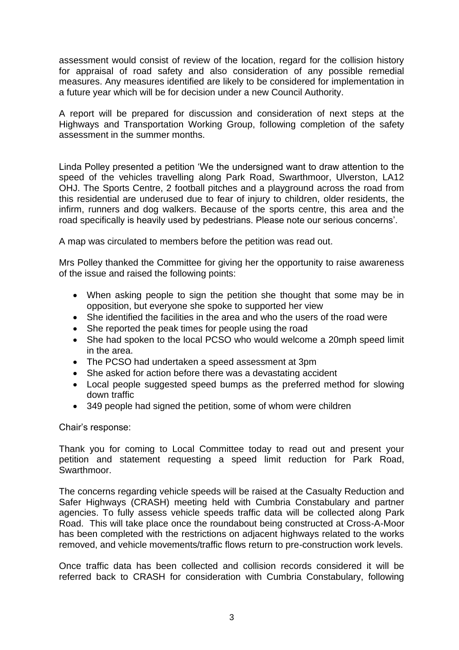assessment would consist of review of the location, regard for the collision history for appraisal of road safety and also consideration of any possible remedial measures. Any measures identified are likely to be considered for implementation in a future year which will be for decision under a new Council Authority.

A report will be prepared for discussion and consideration of next steps at the Highways and Transportation Working Group, following completion of the safety assessment in the summer months.

Linda Polley presented a petition 'We the undersigned want to draw attention to the speed of the vehicles travelling along Park Road, Swarthmoor, Ulverston, LA12 OHJ. The Sports Centre, 2 football pitches and a playground across the road from this residential are underused due to fear of injury to children, older residents, the infirm, runners and dog walkers. Because of the sports centre, this area and the road specifically is heavily used by pedestrians. Please note our serious concerns'.

A map was circulated to members before the petition was read out.

Mrs Polley thanked the Committee for giving her the opportunity to raise awareness of the issue and raised the following points:

- When asking people to sign the petition she thought that some may be in opposition, but everyone she spoke to supported her view
- She identified the facilities in the area and who the users of the road were
- She reported the peak times for people using the road
- She had spoken to the local PCSO who would welcome a 20mph speed limit in the area.
- The PCSO had undertaken a speed assessment at 3pm
- She asked for action before there was a devastating accident
- Local people suggested speed bumps as the preferred method for slowing down traffic
- 349 people had signed the petition, some of whom were children

Chair's response:

Thank you for coming to Local Committee today to read out and present your petition and statement requesting a speed limit reduction for Park Road, Swarthmoor.

The concerns regarding vehicle speeds will be raised at the Casualty Reduction and Safer Highways (CRASH) meeting held with Cumbria Constabulary and partner agencies. To fully assess vehicle speeds traffic data will be collected along Park Road. This will take place once the roundabout being constructed at Cross-A-Moor has been completed with the restrictions on adjacent highways related to the works removed, and vehicle movements/traffic flows return to pre-construction work levels.

Once traffic data has been collected and collision records considered it will be referred back to CRASH for consideration with Cumbria Constabulary, following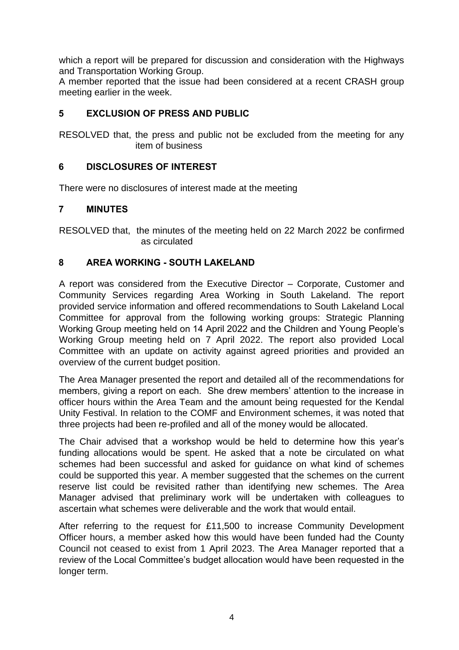which a report will be prepared for discussion and consideration with the Highways and Transportation Working Group.

A member reported that the issue had been considered at a recent CRASH group meeting earlier in the week.

## **5 EXCLUSION OF PRESS AND PUBLIC**

RESOLVED that, the press and public not be excluded from the meeting for any item of business

## **6 DISCLOSURES OF INTEREST**

There were no disclosures of interest made at the meeting

### **7 MINUTES**

RESOLVED that, the minutes of the meeting held on 22 March 2022 be confirmed as circulated

## **8 AREA WORKING - SOUTH LAKELAND**

A report was considered from the Executive Director – Corporate, Customer and Community Services regarding Area Working in South Lakeland. The report provided service information and offered recommendations to South Lakeland Local Committee for approval from the following working groups: Strategic Planning Working Group meeting held on 14 April 2022 and the Children and Young People's Working Group meeting held on 7 April 2022. The report also provided Local Committee with an update on activity against agreed priorities and provided an overview of the current budget position.

The Area Manager presented the report and detailed all of the recommendations for members, giving a report on each. She drew members' attention to the increase in officer hours within the Area Team and the amount being requested for the Kendal Unity Festival. In relation to the COMF and Environment schemes, it was noted that three projects had been re-profiled and all of the money would be allocated.

The Chair advised that a workshop would be held to determine how this year's funding allocations would be spent. He asked that a note be circulated on what schemes had been successful and asked for guidance on what kind of schemes could be supported this year. A member suggested that the schemes on the current reserve list could be revisited rather than identifying new schemes. The Area Manager advised that preliminary work will be undertaken with colleagues to ascertain what schemes were deliverable and the work that would entail.

After referring to the request for £11,500 to increase Community Development Officer hours, a member asked how this would have been funded had the County Council not ceased to exist from 1 April 2023. The Area Manager reported that a review of the Local Committee's budget allocation would have been requested in the longer term.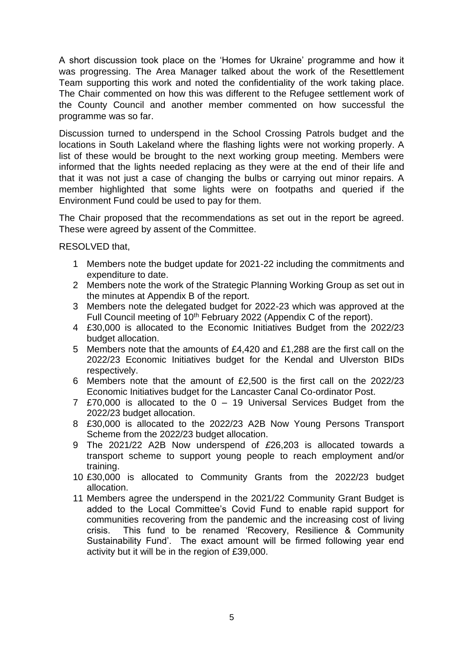A short discussion took place on the 'Homes for Ukraine' programme and how it was progressing. The Area Manager talked about the work of the Resettlement Team supporting this work and noted the confidentiality of the work taking place. The Chair commented on how this was different to the Refugee settlement work of the County Council and another member commented on how successful the programme was so far.

Discussion turned to underspend in the School Crossing Patrols budget and the locations in South Lakeland where the flashing lights were not working properly. A list of these would be brought to the next working group meeting. Members were informed that the lights needed replacing as they were at the end of their life and that it was not just a case of changing the bulbs or carrying out minor repairs. A member highlighted that some lights were on footpaths and queried if the Environment Fund could be used to pay for them.

The Chair proposed that the recommendations as set out in the report be agreed. These were agreed by assent of the Committee.

RESOLVED that,

- 1 Members note the budget update for 2021-22 including the commitments and expenditure to date.
- 2 Members note the work of the Strategic Planning Working Group as set out in the minutes at Appendix B of the report.
- 3 Members note the delegated budget for 2022-23 which was approved at the Full Council meeting of 10th February 2022 (Appendix C of the report).
- 4 £30,000 is allocated to the Economic Initiatives Budget from the 2022/23 budget allocation.
- 5 Members note that the amounts of £4,420 and £1,288 are the first call on the 2022/23 Economic Initiatives budget for the Kendal and Ulverston BIDs respectively.
- 6 Members note that the amount of £2,500 is the first call on the 2022/23 Economic Initiatives budget for the Lancaster Canal Co-ordinator Post.
- 7 £70,000 is allocated to the 0 19 Universal Services Budget from the 2022/23 budget allocation.
- 8 £30,000 is allocated to the 2022/23 A2B Now Young Persons Transport Scheme from the 2022/23 budget allocation.
- 9 The 2021/22 A2B Now underspend of *£*26,203 is allocated towards a transport scheme to support young people to reach employment and/or training.
- 10 £30,000 is allocated to Community Grants from the 2022/23 budget allocation.
- 11 Members agree the underspend in the 2021/22 Community Grant Budget is added to the Local Committee's Covid Fund to enable rapid support for communities recovering from the pandemic and the increasing cost of living crisis. This fund to be renamed 'Recovery, Resilience & Community Sustainability Fund'. The exact amount will be firmed following year end activity but it will be in the region of £39,000.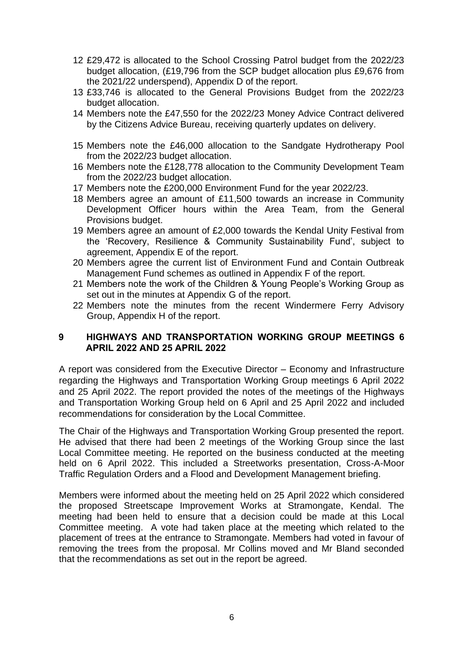- 12 £29,472 is allocated to the School Crossing Patrol budget from the 2022/23 budget allocation, (£19,796 from the SCP budget allocation plus £9,676 from the 2021/22 underspend), Appendix D of the report.
- 13 £33,746 is allocated to the General Provisions Budget from the 2022/23 budget allocation.
- 14 Members note the £47,550 for the 2022/23 Money Advice Contract delivered by the Citizens Advice Bureau, receiving quarterly updates on delivery.
- 15 Members note the £46,000 allocation to the Sandgate Hydrotherapy Pool from the 2022/23 budget allocation.
- 16 Members note the £128,778 allocation to the Community Development Team from the 2022/23 budget allocation.
- 17 Members note the £200,000 Environment Fund for the year 2022/23.
- 18 Members agree an amount of £11,500 towards an increase in Community Development Officer hours within the Area Team, from the General Provisions budget.
- 19 Members agree an amount of £2,000 towards the Kendal Unity Festival from the 'Recovery, Resilience & Community Sustainability Fund', subject to agreement, Appendix E of the report.
- 20 Members agree the current list of Environment Fund and Contain Outbreak Management Fund schemes as outlined in Appendix F of the report.
- 21 Members note the work of the Children & Young People's Working Group as set out in the minutes at Appendix G of the report.
- 22 Members note the minutes from the recent Windermere Ferry Advisory Group, Appendix H of the report.

### **9 HIGHWAYS AND TRANSPORTATION WORKING GROUP MEETINGS 6 APRIL 2022 AND 25 APRIL 2022**

A report was considered from the Executive Director – Economy and Infrastructure regarding the Highways and Transportation Working Group meetings 6 April 2022 and 25 April 2022. The report provided the notes of the meetings of the Highways and Transportation Working Group held on 6 April and 25 April 2022 and included recommendations for consideration by the Local Committee.

The Chair of the Highways and Transportation Working Group presented the report. He advised that there had been 2 meetings of the Working Group since the last Local Committee meeting. He reported on the business conducted at the meeting held on 6 April 2022. This included a Streetworks presentation, Cross-A-Moor Traffic Regulation Orders and a Flood and Development Management briefing.

Members were informed about the meeting held on 25 April 2022 which considered the proposed Streetscape Improvement Works at Stramongate, Kendal. The meeting had been held to ensure that a decision could be made at this Local Committee meeting. A vote had taken place at the meeting which related to the placement of trees at the entrance to Stramongate. Members had voted in favour of removing the trees from the proposal. Mr Collins moved and Mr Bland seconded that the recommendations as set out in the report be agreed.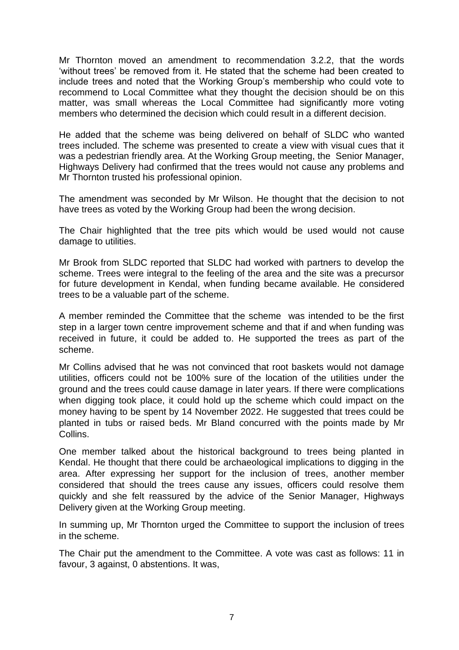Mr Thornton moved an amendment to recommendation 3.2.2, that the words 'without trees' be removed from it. He stated that the scheme had been created to include trees and noted that the Working Group's membership who could vote to recommend to Local Committee what they thought the decision should be on this matter, was small whereas the Local Committee had significantly more voting members who determined the decision which could result in a different decision.

He added that the scheme was being delivered on behalf of SLDC who wanted trees included. The scheme was presented to create a view with visual cues that it was a pedestrian friendly area. At the Working Group meeting, the Senior Manager, Highways Delivery had confirmed that the trees would not cause any problems and Mr Thornton trusted his professional opinion.

The amendment was seconded by Mr Wilson. He thought that the decision to not have trees as voted by the Working Group had been the wrong decision.

The Chair highlighted that the tree pits which would be used would not cause damage to utilities.

Mr Brook from SLDC reported that SLDC had worked with partners to develop the scheme. Trees were integral to the feeling of the area and the site was a precursor for future development in Kendal, when funding became available. He considered trees to be a valuable part of the scheme.

A member reminded the Committee that the scheme was intended to be the first step in a larger town centre improvement scheme and that if and when funding was received in future, it could be added to. He supported the trees as part of the scheme.

Mr Collins advised that he was not convinced that root baskets would not damage utilities, officers could not be 100% sure of the location of the utilities under the ground and the trees could cause damage in later years. If there were complications when digging took place, it could hold up the scheme which could impact on the money having to be spent by 14 November 2022. He suggested that trees could be planted in tubs or raised beds. Mr Bland concurred with the points made by Mr Collins.

One member talked about the historical background to trees being planted in Kendal. He thought that there could be archaeological implications to digging in the area. After expressing her support for the inclusion of trees, another member considered that should the trees cause any issues, officers could resolve them quickly and she felt reassured by the advice of the Senior Manager, Highways Delivery given at the Working Group meeting.

In summing up, Mr Thornton urged the Committee to support the inclusion of trees in the scheme.

The Chair put the amendment to the Committee. A vote was cast as follows: 11 in favour, 3 against, 0 abstentions. It was,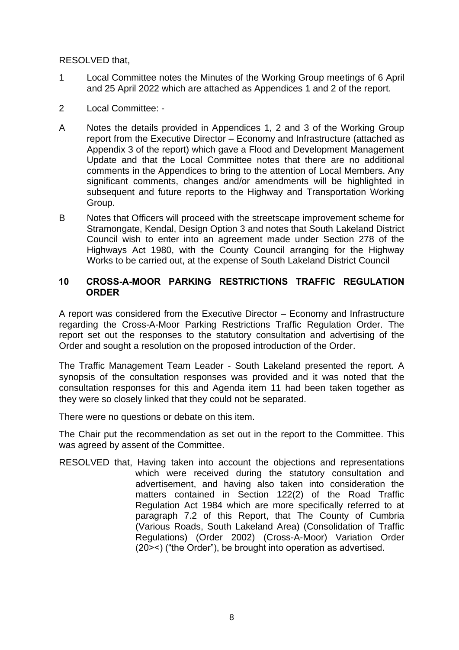RESOLVED that,

- 1 Local Committee notes the Minutes of the Working Group meetings of 6 April and 25 April 2022 which are attached as Appendices 1 and 2 of the report.
- 2 Local Committee: -
- A Notes the details provided in Appendices 1, 2 and 3 of the Working Group report from the Executive Director – Economy and Infrastructure (attached as Appendix 3 of the report) which gave a Flood and Development Management Update and that the Local Committee notes that there are no additional comments in the Appendices to bring to the attention of Local Members. Any significant comments, changes and/or amendments will be highlighted in subsequent and future reports to the Highway and Transportation Working Group.
- B Notes that Officers will proceed with the streetscape improvement scheme for Stramongate, Kendal, Design Option 3 and notes that South Lakeland District Council wish to enter into an agreement made under Section 278 of the Highways Act 1980, with the County Council arranging for the Highway Works to be carried out, at the expense of South Lakeland District Council

### **10 CROSS-A-MOOR PARKING RESTRICTIONS TRAFFIC REGULATION ORDER**

A report was considered from the Executive Director – Economy and Infrastructure regarding the Cross-A-Moor Parking Restrictions Traffic Regulation Order. The report set out the responses to the statutory consultation and advertising of the Order and sought a resolution on the proposed introduction of the Order.

The Traffic Management Team Leader - South Lakeland presented the report. A synopsis of the consultation responses was provided and it was noted that the consultation responses for this and Agenda item 11 had been taken together as they were so closely linked that they could not be separated.

There were no questions or debate on this item.

The Chair put the recommendation as set out in the report to the Committee. This was agreed by assent of the Committee.

RESOLVED that, Having taken into account the objections and representations which were received during the statutory consultation and advertisement, and having also taken into consideration the matters contained in Section 122(2) of the Road Traffic Regulation Act 1984 which are more specifically referred to at paragraph 7.2 of this Report, that The County of Cumbria (Various Roads, South Lakeland Area) (Consolidation of Traffic Regulations) (Order 2002) (Cross-A-Moor) Variation Order (20><) ("the Order"), be brought into operation as advertised.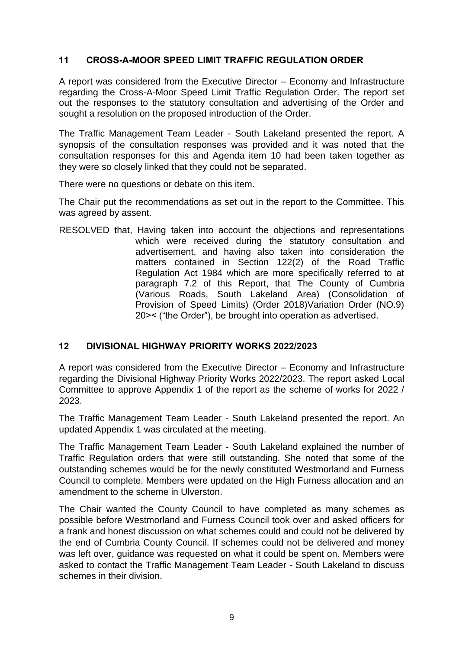## **11 CROSS-A-MOOR SPEED LIMIT TRAFFIC REGULATION ORDER**

A report was considered from the Executive Director – Economy and Infrastructure regarding the Cross-A-Moor Speed Limit Traffic Regulation Order. The report set out the responses to the statutory consultation and advertising of the Order and sought a resolution on the proposed introduction of the Order.

The Traffic Management Team Leader - South Lakeland presented the report. A synopsis of the consultation responses was provided and it was noted that the consultation responses for this and Agenda item 10 had been taken together as they were so closely linked that they could not be separated.

There were no questions or debate on this item.

The Chair put the recommendations as set out in the report to the Committee. This was agreed by assent.

RESOLVED that, Having taken into account the objections and representations which were received during the statutory consultation and advertisement, and having also taken into consideration the matters contained in Section 122(2) of the Road Traffic Regulation Act 1984 which are more specifically referred to at paragraph 7.2 of this Report, that The County of Cumbria (Various Roads, South Lakeland Area) (Consolidation of Provision of Speed Limits) (Order 2018)Variation Order (NO.9) 20>< ("the Order"), be brought into operation as advertised.

## **12 DIVISIONAL HIGHWAY PRIORITY WORKS 2022/2023**

A report was considered from the Executive Director – Economy and Infrastructure regarding the Divisional Highway Priority Works 2022/2023. The report asked Local Committee to approve Appendix 1 of the report as the scheme of works for 2022 / 2023.

The Traffic Management Team Leader - South Lakeland presented the report. An updated Appendix 1 was circulated at the meeting.

The Traffic Management Team Leader - South Lakeland explained the number of Traffic Regulation orders that were still outstanding. She noted that some of the outstanding schemes would be for the newly constituted Westmorland and Furness Council to complete. Members were updated on the High Furness allocation and an amendment to the scheme in Ulverston.

The Chair wanted the County Council to have completed as many schemes as possible before Westmorland and Furness Council took over and asked officers for a frank and honest discussion on what schemes could and could not be delivered by the end of Cumbria County Council. If schemes could not be delivered and money was left over, guidance was requested on what it could be spent on. Members were asked to contact the Traffic Management Team Leader - South Lakeland to discuss schemes in their division.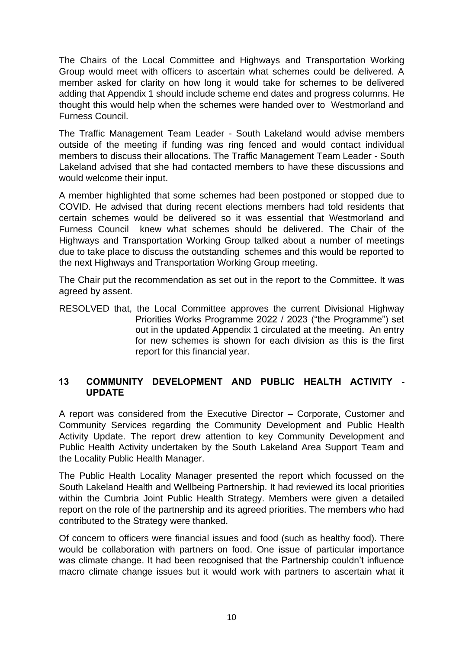The Chairs of the Local Committee and Highways and Transportation Working Group would meet with officers to ascertain what schemes could be delivered. A member asked for clarity on how long it would take for schemes to be delivered adding that Appendix 1 should include scheme end dates and progress columns. He thought this would help when the schemes were handed over to Westmorland and Furness Council.

The Traffic Management Team Leader - South Lakeland would advise members outside of the meeting if funding was ring fenced and would contact individual members to discuss their allocations. The Traffic Management Team Leader - South Lakeland advised that she had contacted members to have these discussions and would welcome their input.

A member highlighted that some schemes had been postponed or stopped due to COVID. He advised that during recent elections members had told residents that certain schemes would be delivered so it was essential that Westmorland and Furness Council knew what schemes should be delivered. The Chair of the Highways and Transportation Working Group talked about a number of meetings due to take place to discuss the outstanding schemes and this would be reported to the next Highways and Transportation Working Group meeting.

The Chair put the recommendation as set out in the report to the Committee. It was agreed by assent.

RESOLVED that, the Local Committee approves the current Divisional Highway Priorities Works Programme 2022 / 2023 ("the Programme") set out in the updated Appendix 1 circulated at the meeting. An entry for new schemes is shown for each division as this is the first report for this financial year.

## **13 COMMUNITY DEVELOPMENT AND PUBLIC HEALTH ACTIVITY - UPDATE**

A report was considered from the Executive Director – Corporate, Customer and Community Services regarding the Community Development and Public Health Activity Update. The report drew attention to key Community Development and Public Health Activity undertaken by the South Lakeland Area Support Team and the Locality Public Health Manager.

The Public Health Locality Manager presented the report which focussed on the South Lakeland Health and Wellbeing Partnership. It had reviewed its local priorities within the Cumbria Joint Public Health Strategy. Members were given a detailed report on the role of the partnership and its agreed priorities. The members who had contributed to the Strategy were thanked.

Of concern to officers were financial issues and food (such as healthy food). There would be collaboration with partners on food. One issue of particular importance was climate change. It had been recognised that the Partnership couldn't influence macro climate change issues but it would work with partners to ascertain what it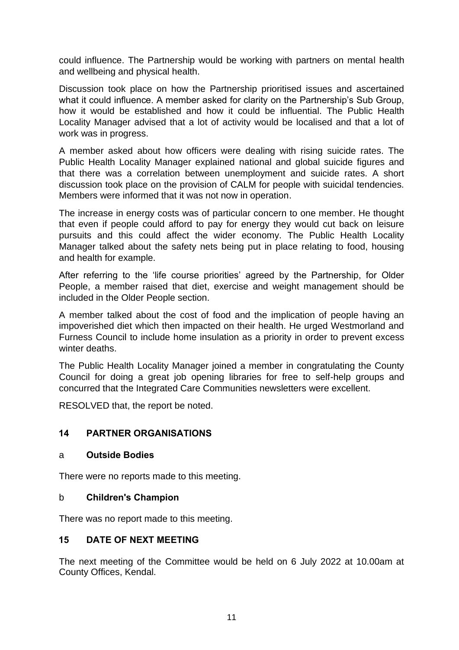could influence. The Partnership would be working with partners on mental health and wellbeing and physical health.

Discussion took place on how the Partnership prioritised issues and ascertained what it could influence. A member asked for clarity on the Partnership's Sub Group, how it would be established and how it could be influential. The Public Health Locality Manager advised that a lot of activity would be localised and that a lot of work was in progress.

A member asked about how officers were dealing with rising suicide rates. The Public Health Locality Manager explained national and global suicide figures and that there was a correlation between unemployment and suicide rates. A short discussion took place on the provision of CALM for people with suicidal tendencies. Members were informed that it was not now in operation.

The increase in energy costs was of particular concern to one member. He thought that even if people could afford to pay for energy they would cut back on leisure pursuits and this could affect the wider economy. The Public Health Locality Manager talked about the safety nets being put in place relating to food, housing and health for example.

After referring to the 'life course priorities' agreed by the Partnership, for Older People, a member raised that diet, exercise and weight management should be included in the Older People section.

A member talked about the cost of food and the implication of people having an impoverished diet which then impacted on their health. He urged Westmorland and Furness Council to include home insulation as a priority in order to prevent excess winter deaths.

The Public Health Locality Manager joined a member in congratulating the County Council for doing a great job opening libraries for free to self-help groups and concurred that the Integrated Care Communities newsletters were excellent.

RESOLVED that, the report be noted.

### **14 PARTNER ORGANISATIONS**

#### a **Outside Bodies**

There were no reports made to this meeting.

### b **Children's Champion**

There was no report made to this meeting.

### **15 DATE OF NEXT MEETING**

The next meeting of the Committee would be held on 6 July 2022 at 10.00am at County Offices, Kendal.